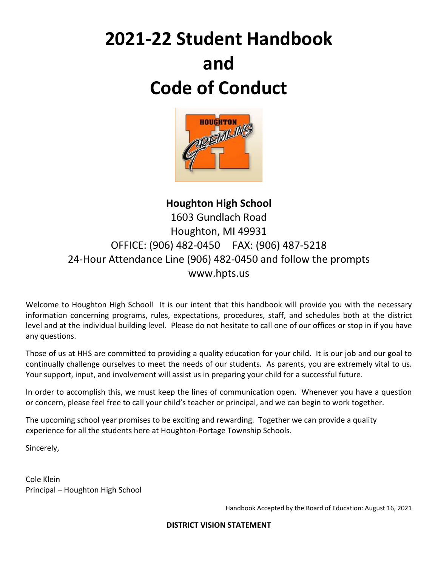# **2021-22 Student Handbook and Code of Conduct**



# **Houghton High School** 1603 Gundlach Road Houghton, MI 49931 OFFICE: (906) 482-0450 FAX: (906) 487-5218 24-Hour Attendance Line (906) 482-0450 and follow the prompts www.hpts.us

Welcome to Houghton High School! It is our intent that this handbook will provide you with the necessary information concerning programs, rules, expectations, procedures, staff, and schedules both at the district level and at the individual building level. Please do not hesitate to call one of our offices or stop in if you have any questions.

Those of us at HHS are committed to providing a quality education for your child. It is our job and our goal to continually challenge ourselves to meet the needs of our students. As parents, you are extremely vital to us. Your support, input, and involvement will assist us in preparing your child for a successful future.

In order to accomplish this, we must keep the lines of communication open. Whenever you have a question or concern, please feel free to call your child's teacher or principal, and we can begin to work together.

The upcoming school year promises to be exciting and rewarding. Together we can provide a quality experience for all the students here at Houghton-Portage Township Schools.

Sincerely,

Cole Klein Principal – Houghton High School

Handbook Accepted by the Board of Education: August 16, 2021

#### **DISTRICT VISION STATEMENT**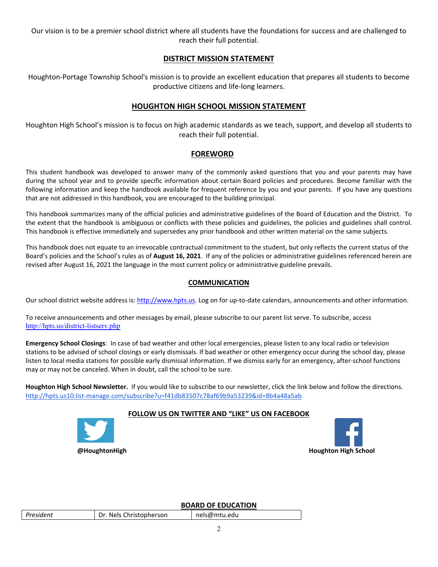Our vision is to be a premier school district where all students have the foundations for success and are challenged to reach their full potential.

#### **DISTRICT MISSION STATEMENT**

Houghton-Portage Township School's mission is to provide an excellent education that prepares all students to become productive citizens and life-long learners.

#### **HOUGHTON HIGH SCHOOL MISSION STATEMENT**

Houghton High School's mission is to focus on high academic standards as we teach, support, and develop all students to reach their full potential.

#### **FOREWORD**

This student handbook was developed to answer many of the commonly asked questions that you and your parents may have during the school year and to provide specific information about certain Board policies and procedures. Become familiar with the following information and keep the handbook available for frequent reference by you and your parents. If you have any questions that are not addressed in this handbook, you are encouraged to the building principal.

This handbook summarizes many of the official policies and administrative guidelines of the Board of Education and the District. To the extent that the handbook is ambiguous or conflicts with these policies and guidelines, the policies and guidelines shall control. This handbook is effective immediately and supersedes any prior handbook and other written material on the same subjects.

This handbook does not equate to an irrevocable contractual commitment to the student, but only reflects the current status of the Board's policies and the School's rules as of **August 16, 2021**. If any of the policies or administrative guidelines referenced herein are revised after August 16, 2021 the language in the most current policy or administrative guideline prevails.

#### **COMMUNICATION**

Our school district website address is: [http://www.hpts.us.](http://www.hpts.us) Log on for up-to-date calendars, announcements and other information.

To receive announcements and other messages by email, please subscribe to our parent list serve. To subscribe, access <http://hpts.us/district-listserv.php>

**Emergency School Closings**: In case of bad weather and other local emergencies, please listen to any local radio or television stations to be advised of school closings or early dismissals. If bad weather or other emergency occur during the school day, please listen to local media stations for possible early dismissal information. If we dismiss early for an emergency, after-school functions may or may not be canceled. When in doubt, call the school to be sure.

**Houghton High School Newsletter.** If you would like to subscribe to our newsletter, click the link below and follow the directions. <http://hpts.us10.list-manage.com/subscribe?u=f41db83507c78af69b9a53239&id=8b4a48a5ab>

#### **FOLLOW US ON TWITTER AND "LIKE" US ON FACEBOOK**





#### **BOARD OF EDUCATION**

|           |                         | ____ _. __ _. |
|-----------|-------------------------|---------------|
| President | Dr. Nels Christopherson | nels@mtu.edu  |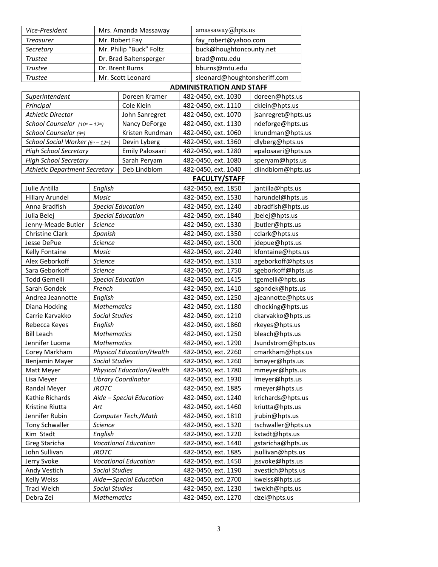| Vice-President                       |                             | Mrs. Amanda Massaway             |  | amassaway@hpts.us               |                    |  |
|--------------------------------------|-----------------------------|----------------------------------|--|---------------------------------|--------------------|--|
| <b>Treasurer</b>                     |                             | Mr. Robert Fay                   |  | fay robert@yahoo.com            |                    |  |
| Secretary                            |                             | Mr. Philip "Buck" Foltz          |  | buck@houghtoncounty.net         |                    |  |
| <b>Trustee</b>                       |                             | Dr. Brad Baltensperger           |  | brad@mtu.edu                    |                    |  |
| <b>Trustee</b>                       |                             | Dr. Brent Burns                  |  | bburns@mtu.edu                  |                    |  |
| <b>Trustee</b>                       |                             | Mr. Scott Leonard                |  | sleonard@houghtonsheriff.com    |                    |  |
|                                      |                             |                                  |  | <b>ADMINISTRATION AND STAFF</b> |                    |  |
| Superintendent                       |                             | Doreen Kramer                    |  | 482-0450, ext. 1030             | doreen@hpts.us     |  |
| Principal                            |                             | Cole Klein                       |  | 482-0450, ext. 1110             | cklein@hpts.us     |  |
| <b>Athletic Director</b>             |                             | John Sanregret                   |  | 482-0450, ext. 1070             | jsanregret@hpts.us |  |
| School Counselor (10th - 12th)       |                             | Nancy DeForge                    |  | 482-0450, ext. 1130             | ndeforge@hpts.us   |  |
| School Counselor (9th)               |                             | Kristen Rundman                  |  | 482-0450, ext. 1060             | krundman@hpts.us   |  |
| School Social Worker $(6th - 12th)$  |                             | Devin Lyberg                     |  | 482-0450, ext. 1360             | dlyberg@hpts.us    |  |
| <b>High School Secretary</b>         |                             | Emily Palosaari                  |  | 482-0450, ext. 1280             | epalosaari@hpts.us |  |
| <b>High School Secretary</b>         |                             | Sarah Peryam                     |  | 482-0450, ext. 1080             | speryam@hpts.us    |  |
| <b>Athletic Department Secretary</b> |                             | Deb Lindblom                     |  | 482-0450, ext. 1040             | dlindblom@hpts.us  |  |
|                                      |                             |                                  |  |                                 |                    |  |
|                                      |                             |                                  |  | <b>FACULTY/STAFF</b>            |                    |  |
| Julie Antilla                        | English                     |                                  |  | 482-0450, ext. 1850             | jantilla@hpts.us   |  |
| <b>Hillary Arundel</b>               | <b>Music</b>                |                                  |  | 482-0450, ext. 1530             | harundel@hpts.us   |  |
| Anna Bradfish                        |                             | <b>Special Education</b>         |  | 482-0450, ext. 1240             | abradfish@hpts.us  |  |
| Julia Belej                          |                             | <b>Special Education</b>         |  | 482-0450, ext. 1840             | jbelej@hpts.us     |  |
| Jenny-Meade Butler                   | <b>Science</b>              |                                  |  | 482-0450, ext. 1330             | jbutler@hpts.us    |  |
| Christine Clark                      |                             | Spanish                          |  | 482-0450, ext. 1350             | cclark@hpts.us     |  |
| Jesse DePue                          | Science                     |                                  |  | 482-0450, ext. 1300             | jdepue@hpts.us     |  |
| Kelly Fontaine                       | Music                       |                                  |  | 482-0450, ext. 2240             | kfontaine@hpts.us  |  |
| Alex Geborkoff                       | Science                     |                                  |  | 482-0450, ext. 1310             | ageborkoff@hpts.us |  |
| Sara Geborkoff                       | <b>Science</b>              |                                  |  | 482-0450, ext. 1750             | sgeborkoff@hpts.us |  |
| <b>Todd Gemelli</b>                  |                             | <b>Special Education</b>         |  | 482-0450, ext. 1415             | tgemelli@hpts.us   |  |
| Sarah Gondek                         | French                      |                                  |  | 482-0450, ext. 1410             | sgondek@hpts.us    |  |
| Andrea Jeannotte                     | English                     |                                  |  | 482-0450, ext. 1250             | ajeannotte@hpts.us |  |
| Diana Hocking                        | <b>Mathematics</b>          |                                  |  | 482-0450, ext. 1180             | dhocking@hpts.us   |  |
| Carrie Karvakko                      | <b>Social Studies</b>       |                                  |  | 482-0450, ext. 1210             | ckarvakko@hpts.us  |  |
| Rebecca Keyes                        | English                     |                                  |  | 482-0450, ext. 1860             | rkeyes@hpts.us     |  |
| <b>Bill Leach</b>                    | <b>Mathematics</b>          |                                  |  | 482-0450, ext. 1250             | bleach@hpts.us     |  |
| Jennifer Luoma                       | <b>Mathematics</b>          |                                  |  | 482-0450, ext. 1290             | Jsundstrom@hpts.us |  |
| Corey Markham                        |                             | <b>Physical Education/Health</b> |  | 482-0450, ext. 2260             | cmarkham@hpts.us   |  |
| Benjamin Mayer                       | <b>Social Studies</b>       |                                  |  | 482-0450, ext. 1260             | bmayer@hpts.us     |  |
| Matt Meyer                           |                             | <b>Physical Education/Health</b> |  | 482-0450, ext. 1780             | mmeyer@hpts.us     |  |
| Lisa Meyer                           |                             | <b>Library Coordinator</b>       |  | 482-0450, ext. 1930             | Imeyer@hpts.us     |  |
| Randal Meyer                         | <b>JROTC</b>                |                                  |  | 482-0450, ext. 1885             | rmeyer@hpts.us     |  |
| Kathie Richards                      | Aide - Special Education    |                                  |  | 482-0450, ext. 1240             | krichards@hpts.us  |  |
| Kristine Riutta                      | Art                         |                                  |  | 482-0450, ext. 1460             | kriutta@hpts.us    |  |
| Jennifer Rubin                       | Computer Tech./Math         |                                  |  | 482-0450, ext. 1810             | jrubin@hpts.us     |  |
| Tony Schwaller                       | <b>Science</b>              |                                  |  | 482-0450, ext. 1320             | tschwaller@hpts.us |  |
| Kim Stadt                            | English                     |                                  |  | 482-0450, ext. 1220             | kstadt@hpts.us     |  |
| Greg Staricha                        | <b>Vocational Education</b> |                                  |  | 482-0450, ext. 1440             | gstaricha@hpts.us  |  |
| John Sullivan                        | <b>JROTC</b>                |                                  |  | 482-0450, ext. 1885             | jsullivan@hpts.us  |  |
| Jerry Svoke                          |                             | <b>Vocational Education</b>      |  | 482-0450, ext. 1450             | jssvoke@hpts.us    |  |
| Andy Vestich                         | <b>Social Studies</b>       |                                  |  | 482-0450, ext. 1190             | avestich@hpts.us   |  |
| <b>Kelly Weiss</b>                   | Aide-Special Education      |                                  |  | 482-0450, ext. 2700             | kweiss@hpts.us     |  |
| Traci Welch                          | <b>Social Studies</b>       |                                  |  | 482-0450, ext. 1230             | twelch@hpts.us     |  |
| Debra Zei                            | <b>Mathematics</b>          |                                  |  | 482-0450, ext. 1270             | dzei@hpts.us       |  |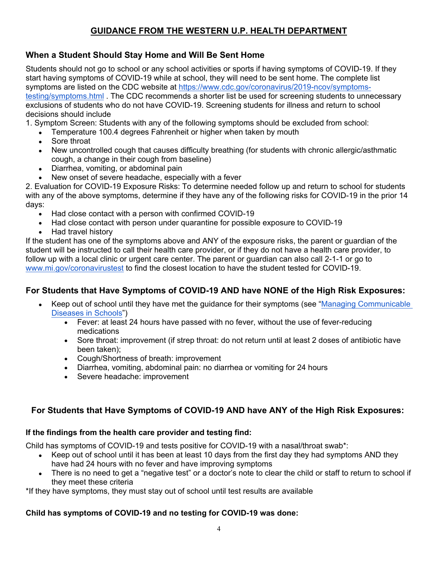# **GUIDANCE FROM THE WESTERN U.P. HEALTH DEPARTMENT**

## **When a Student Should Stay Home and Will Be Sent Home**

Students should not go to school or any school activities or sports if having symptoms of COVID-19. If they start having symptoms of COVID-19 while at school, they will need to be sent home. The complete list symptoms are listed on the CDC website at [https://www.cdc.gov/coronavirus/2019-ncov/symptoms](https://www.cdc.gov/coronavirus/2019-ncov/symptoms-testing/symptoms.html)[testing/symptoms.html](https://www.cdc.gov/coronavirus/2019-ncov/symptoms-testing/symptoms.html) . The CDC recommends a shorter list be used for screening students to unnecessary exclusions of students who do not have COVID-19. Screening students for illness and return to school decisions should include

1. Symptom Screen: Students with any of the following symptoms should be excluded from school:

- Temperature 100.4 degrees Fahrenheit or higher when taken by mouth
- Sore throat
- New uncontrolled cough that causes difficulty breathing (for students with chronic allergic/asthmatic cough, a change in their cough from baseline)
- Diarrhea, vomiting, or abdominal pain
- New onset of severe headache, especially with a fever

2. Evaluation for COVID-19 Exposure Risks: To determine needed follow up and return to school for students with any of the above symptoms, determine if they have any of the following risks for COVID-19 in the prior 14 days:

- Had close contact with a person with confirmed COVID-19
- Had close contact with person under quarantine for possible exposure to COVID-19
- Had travel history

If the student has one of the symptoms above and ANY of the exposure risks, the parent or guardian of the student will be instructed to call their health care provider, or if they do not have a health care provider, to follow up with a local clinic or urgent care center. The parent or guardian can also call 2-1-1 or go to [www.mi.gov/coronavirustest](http://www.mi.gov/coronavirustest) to find the closest location to have the student tested for COVID-19.

### **For Students that Have Symptoms of COVID-19 AND have NONE of the High Risk Exposures:**

- Keep out of school until they have met the guidance for their symptoms (see "[Managing Communicable](https://www.michigan.gov/documents/mdch/Managing_CD_in_Schools_FINAL_469824_7.PDF)  [Diseases in Schools](https://www.michigan.gov/documents/mdch/Managing_CD_in_Schools_FINAL_469824_7.PDF)")
	- Fever: at least 24 hours have passed with no fever, without the use of fever-reducing medications
	- Sore throat: improvement (if strep throat: do not return until at least 2 doses of antibiotic have been taken);
	- Cough/Shortness of breath: improvement
	- Diarrhea, vomiting, abdominal pain: no diarrhea or vomiting for 24 hours
	- Severe headache: improvement

## **For Students that Have Symptoms of COVID-19 AND have ANY of the High Risk Exposures:**

#### **If the findings from the health care provider and testing find:**

Child has symptoms of COVID-19 and tests positive for COVID-19 with a nasal/throat swab\*:

- Keep out of school until it has been at least 10 days from the first day they had symptoms AND they have had 24 hours with no fever and have improving symptoms
- There is no need to get a "negative test" or a doctor's note to clear the child or staff to return to school if they meet these criteria

\*If they have symptoms, they must stay out of school until test results are available

### **Child has symptoms of COVID-19 and no testing for COVID-19 was done:**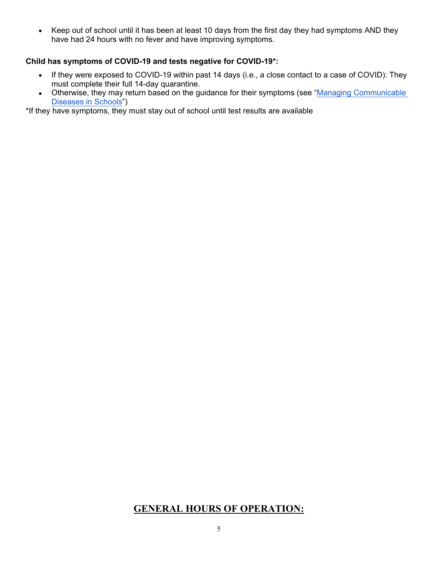• Keep out of school until it has been at least 10 days from the first day they had symptoms AND they have had 24 hours with no fever and have improving symptoms.

#### **Child has symptoms of COVID-19 and tests negative for COVID-19\*:**

- If they were exposed to COVID-19 within past 14 days (i.e., a close contact to a case of COVID): They must complete their full 14-day quarantine.
- Otherwise, they may return based on the guidance for their symptoms (see "Managing Communicable" [Diseases in Schools](https://www.michigan.gov/documents/mdch/Managing_CD_in_Schools_FINAL_469824_7.PDF)")

\*If they have symptoms, they must stay out of school until test results are available

## **GENERAL HOURS OF OPERATION:**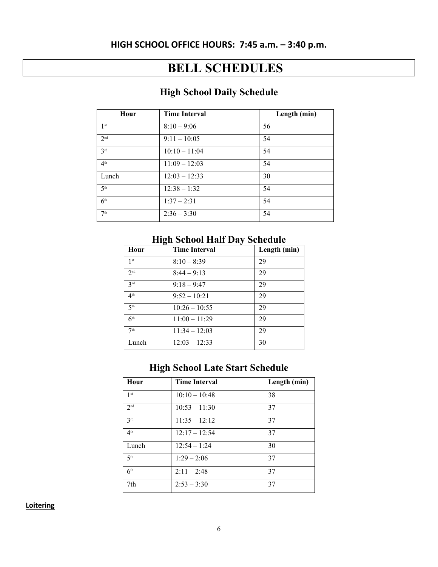# **HIGH SCHOOL OFFICE HOURS: 7:45 a.m. – 3:40 p.m.**

# **BELL SCHEDULES**

# **High School Daily Schedule**

| Hour            | <b>Time Interval</b> | Length (min) |
|-----------------|----------------------|--------------|
| 1 <sup>st</sup> | $8:10 - 9:06$        | 56           |
| 2 <sup>nd</sup> | $9:11 - 10:05$       | 54           |
| 3 <sup>rd</sup> | $10:10 - 11:04$      | 54           |
| 4 <sup>th</sup> | $11:09 - 12:03$      | 54           |
| Lunch           | $12:03 - 12:33$      | 30           |
| 5 <sup>th</sup> | $12:38 - 1:32$       | 54           |
| 6 <sup>th</sup> | $1:37 - 2:31$        | 54           |
| 7 <sup>th</sup> | $2:36 - 3:30$        | 54           |

# **High School Half Day Schedule**

| Hour            | <b>Time Interval</b> | Length (min) |
|-----------------|----------------------|--------------|
| 1 <sup>st</sup> | $8:10 - 8:39$        | 29           |
| 2 <sub>nd</sub> | $8:44 - 9:13$        | 29           |
| 2rd             | $9:18 - 9:47$        | 29           |
| 4 <sup>th</sup> | $9:52 - 10:21$       | 29           |
| 5 <sup>th</sup> | $10:26 - 10:55$      | 29           |
| 6 <sup>th</sup> | $11:00 - 11:29$      | 29           |
| 7 <sup>th</sup> | $11:34 - 12:03$      | 29           |
| Lunch           | $12:03 - 12:33$      | 30           |

# **High School Late Start Schedule**

| Hour            | <b>Time Interval</b> | Length (min) |
|-----------------|----------------------|--------------|
| 1 <sup>st</sup> | $10:10 - 10:48$      | 38           |
| 2 <sub>nd</sub> | $10:53 - 11:30$      | 37           |
| 3 <sup>rd</sup> | $11:35 - 12:12$      | 37           |
| 4 <sup>th</sup> | $12:17 - 12:54$      | 37           |
| Lunch           | $12:54 - 1:24$       | 30           |
| 5 <sup>th</sup> | $1:29 - 2:06$        | 37           |
| 6 <sup>th</sup> | $2:11 - 2:48$        | 37           |
| 7th             | $2:53 - 3:30$        | 37           |

**Loitering**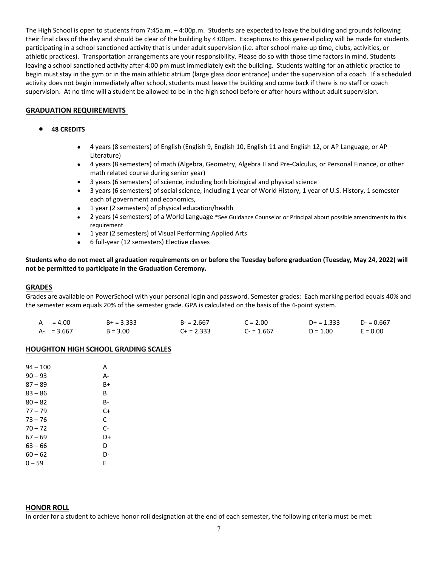The High School is open to students from 7:45a.m. – 4:00p.m. Students are expected to leave the building and grounds following their final class of the day and should be clear of the building by 4:00pm. Exceptions to this general policy will be made for students participating in a school sanctioned activity that is under adult supervision (i.e. after school make-up time, clubs, activities, or athletic practices). Transportation arrangements are your responsibility. Please do so with those time factors in mind. Students leaving a school sanctioned activity after 4:00 pm must immediately exit the building. Students waiting for an athletic practice to begin must stay in the gym or in the main athletic atrium (large glass door entrance) under the supervision of a coach. If a scheduled activity does not begin immediately after school, students must leave the building and come back if there is no staff or coach supervision. At no time will a student be allowed to be in the high school before or after hours without adult supervision.

#### **GRADUATION REQUIREMENTS**

#### ● **48 CREDITS**

- 4 years (8 semesters) of English (English 9, English 10, English 11 and English 12, or AP Language, or AP Literature)
- 4 years (8 semesters) of math (Algebra, Geometry, Algebra II and Pre-Calculus, or Personal Finance, or other math related course during senior year)
- 3 years (6 semesters) of science, including both biological and physical science
- 3 years (6 semesters) of social science, including 1 year of World History, 1 year of U.S. History, 1 semester each of government and economics,
- 1 year (2 semesters) of physical education/health
- 2 years (4 semesters) of a World Language \*See Guidance Counselor or Principal about possible amendments to this requirement
- 1 year (2 semesters) of Visual Performing Applied Arts
- 6 full-year (12 semesters) Elective classes

**Students who do not meet all graduation requirements on or before the Tuesday before graduation (Tuesday, May 24, 2022) will not be permitted to participate in the Graduation Ceremony.**

#### **GRADES**

Grades are available on PowerSchool with your personal login and password. Semester grades: Each marking period equals 40% and the semester exam equals 20% of the semester grade. GPA is calculated on the basis of the 4-point system.

| $= 4.00$<br>A | $B+ = 3.333$ | $B - 2.667$  | $C = 2.00$  | $D+ = 1.333$ | $D - 0.667$ |
|---------------|--------------|--------------|-------------|--------------|-------------|
| $A - 3.667$   | $B = 3.00$   | $C+ = 2.333$ | $C = 1.667$ | $D = 1.00$   | $E = 0.00$  |

#### **HOUGHTON HIGH SCHOOL GRADING SCALES**

| 94 – 100  | Α    |
|-----------|------|
| $90 - 93$ | А-   |
| 87 – 89   | B+   |
| 83 – 86   | В    |
| $80 - 82$ | B-   |
| 77 – 79   | $C+$ |
| $73 - 76$ | С    |
| $70 - 72$ | $C-$ |
| 67 – 69   | D+   |
| 63 – 66   | D    |
| $60 - 62$ | D-   |
| $0 - 59$  | E    |

#### **HONOR ROLL**

In order for a student to achieve honor roll designation at the end of each semester, the following criteria must be met: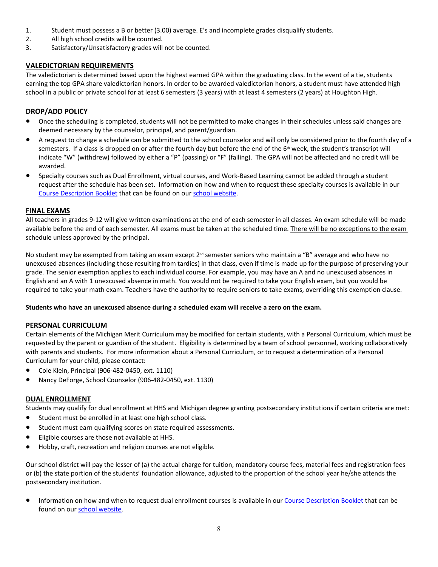- 1. Student must possess a B or better (3.00) average. E's and incomplete grades disqualify students.
- 2. All high school credits will be counted.
- 3. Satisfactory/Unsatisfactory grades will not be counted.

#### **VALEDICTORIAN REQUIREMENTS**

The valedictorian is determined based upon the highest earned GPA within the graduating class. In the event of a tie, students earning the top GPA share valedictorian honors. In order to be awarded valedictorian honors, a student must have attended high school in a public or private school for at least 6 semesters (3 years) with at least 4 semesters (2 years) at Houghton High.

#### **DROP/ADD POLICY**

- Once the scheduling is completed, students will not be permitted to make changes in their schedules unless said changes are deemed necessary by the counselor, principal, and parent/guardian.
- A request to change a schedule can be submitted to the school counselor and will only be considered prior to the fourth day of a semesters. If a class is dropped on or after the fourth day but before the end of the 6<sup>th</sup> week, the student's transcript will indicate "W" (withdrew) followed by either a "P" (passing) or "F" (failing). The GPA will not be affected and no credit will be awarded.
- Specialty courses such as Dual Enrollment, virtual courses, and Work-Based Learning cannot be added through a student request after the schedule has been set. Information on how and when to request these specialty courses is available in our [Course Description Booklet](https://docs.google.com/document/d/1KfiwYe5_8GLXbpVFlPij8CVNLe0j5pqRs2KIuCYfTTs/edit) that can be found on our [school website](http://hpts.us/high-handbook.php).

#### **FINAL EXAMS**

All teachers in grades 9-12 will give written examinations at the end of each semester in all classes. An exam schedule will be made available before the end of each semester. All exams must be taken at the scheduled time. There will be no exceptions to the exam schedule unless approved by the principal.

No student may be exempted from taking an exam except  $2^{nd}$  semester seniors who maintain a "B" average and who have no unexcused absences (including those resulting from tardies) in that class, even if time is made up for the purpose of preserving your grade. The senior exemption applies to each individual course. For example, you may have an A and no unexcused absences in English and an A with 1 unexcused absence in math. You would not be required to take your English exam, but you would be required to take your math exam. Teachers have the authority to require seniors to take exams, overriding this exemption clause.

#### **Students who have an unexcused absence during a scheduled exam will receive a zero on the exam.**

#### **PERSONAL CURRICULUM**

Certain elements of the Michigan Merit Curriculum may be modified for certain students, with a Personal Curriculum, which must be requested by the parent or guardian of the student. Eligibility is determined by a team of school personnel, working collaboratively with parents and students. For more information about a Personal Curriculum, or to request a determination of a Personal Curriculum for your child, please contact:

- Cole Klein, Principal (906-482-0450, ext. 1110)
- Nancy DeForge, School Counselor (906-482-0450, ext. 1130)

#### **DUAL ENROLLMENT**

Students may qualify for dual enrollment at HHS and Michigan degree granting postsecondary institutions if certain criteria are met:

- Student must be enrolled in at least one high school class.
- Student must earn qualifying scores on state required assessments.
- Eligible courses are those not available at HHS.
- Hobby, craft, recreation and religion courses are not eligible.

Our school district will pay the lesser of (a) the actual charge for tuition, mandatory course fees, material fees and registration fees or (b) the state portion of the students' foundation allowance, adjusted to the proportion of the school year he/she attends the postsecondary institution.

● Information on how and when to request dual enrollment courses is available in our [Course Description Booklet](https://docs.google.com/document/d/1KfiwYe5_8GLXbpVFlPij8CVNLe0j5pqRs2KIuCYfTTs/edit) that can be found on our [school website.](http://hpts.us/high-handbook.php)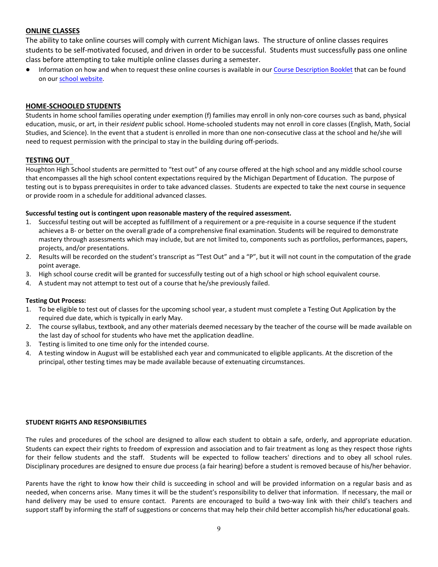#### **ONLINE CLASSES**

The ability to take online courses will comply with current Michigan laws. The structure of online classes requires students to be self-motivated focused, and driven in order to be successful. Students must successfully pass one online class before attempting to take multiple online classes during a semester.

● Information on how and when to request these online courses is available in our [Course Description Booklet](https://docs.google.com/document/d/1KfiwYe5_8GLXbpVFlPij8CVNLe0j5pqRs2KIuCYfTTs/edit) that can be found on our [school website](http://hpts.us/high-handbook.php).

#### **HOME-SCHOOLED STUDENTS**

Students in home school families operating under exemption (f) families may enroll in only non-core courses such as band, physical education, music, or art, in their *resident* public school. Home-schooled students may not enroll in core classes (English, Math, Social Studies, and Science). In the event that a student is enrolled in more than one non-consecutive class at the school and he/she will need to request permission with the principal to stay in the building during off-periods.

#### **TESTING OUT**

Houghton High School students are permitted to "test out" of any course offered at the high school and any middle school course that encompasses all the high school content expectations required by the Michigan Department of Education. The purpose of testing out is to bypass prerequisites in order to take advanced classes. Students are expected to take the next course in sequence or provide room in a schedule for additional advanced classes.

#### **Successful testing out is contingent upon reasonable mastery of the required assessment.**

- 1. Successful testing out will be accepted as fulfillment of a requirement or a pre-requisite in a course sequence if the student achieves a B- or better on the overall grade of a comprehensive final examination. Students will be required to demonstrate mastery through assessments which may include, but are not limited to, components such as portfolios, performances, papers, projects, and/or presentations.
- 2. Results will be recorded on the student's transcript as "Test Out" and a "P", but it will not count in the computation of the grade point average.
- 3. High school course credit will be granted for successfully testing out of a high school or high school equivalent course.
- 4. A student may not attempt to test out of a course that he/she previously failed.

#### **Testing Out Process:**

- 1. To be eligible to test out of classes for the upcoming school year, a student must complete a Testing Out Application by the required due date, which is typically in early May.
- 2. The course syllabus, textbook, and any other materials deemed necessary by the teacher of the course will be made available on the last day of school for students who have met the application deadline.
- 3. Testing is limited to one time only for the intended course.
- 4. A testing window in August will be established each year and communicated to eligible applicants. At the discretion of the principal, other testing times may be made available because of extenuating circumstances.

#### **STUDENT RIGHTS AND RESPONSIBILITIES**

The rules and procedures of the school are designed to allow each student to obtain a safe, orderly, and appropriate education. Students can expect their rights to freedom of expression and association and to fair treatment as long as they respect those rights for their fellow students and the staff. Students will be expected to follow teachers' directions and to obey all school rules. Disciplinary procedures are designed to ensure due process (a fair hearing) before a student is removed because of his/her behavior.

Parents have the right to know how their child is succeeding in school and will be provided information on a regular basis and as needed, when concerns arise. Many times it will be the student's responsibility to deliver that information. If necessary, the mail or hand delivery may be used to ensure contact. Parents are encouraged to build a two-way link with their child's teachers and support staff by informing the staff of suggestions or concerns that may help their child better accomplish his/her educational goals.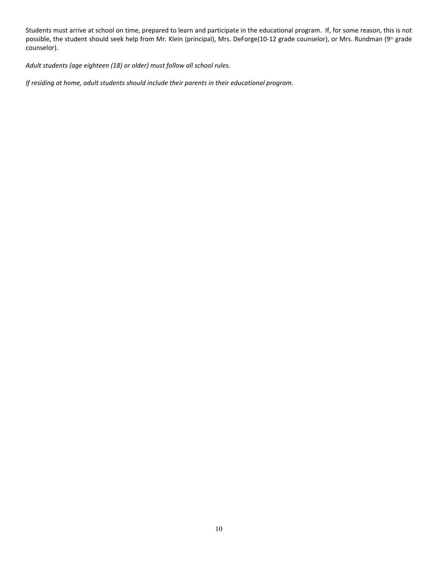Students must arrive at school on time, prepared to learn and participate in the educational program. If, for some reason, this is not possible, the student should seek help from Mr. Klein (principal), Mrs. DeForge(10-12 grade counselor), or Mrs. Rundman (9th grade counselor).

*Adult students (age eighteen (18) or older) must follow all school rules.*

*If residing at home, adult students should include their parents in their educational program.*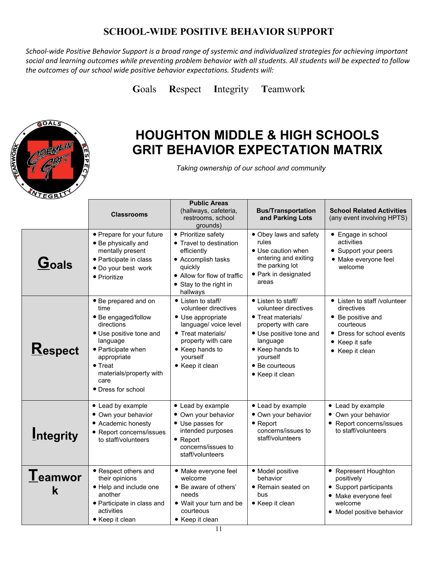# **SCHOOL-WIDE POSITIVE BEHAVIOR SUPPORT**

*School-wide Positive Behavior Support is a broad range of systemic and individualized strategies for achieving important social and learning outcomes while preventing problem behavior with all students. All students will be expected to follow the outcomes of our school wide positive behavior expectations. Students will:*

**G**oals **R**espect **I**ntegrity **T**eamwork



# **HOUGHTON MIDDLE & HIGH SCHOOLS GRIT BEHAVIOR EXPECTATION MATRIX**

*Taking ownership of our school and community*

|                              | <b>Classrooms</b>                                                                                                                                                                                                         | <b>Public Areas</b><br>(hallways, cafeteria,<br>restrooms, school<br>grounds)                                                                                                          | <b>Bus/Transportation</b><br>and Parking Lots                                                                                                                                                     | <b>School Related Activities</b><br>(any event involving HPTS)                                                                                 |
|------------------------------|---------------------------------------------------------------------------------------------------------------------------------------------------------------------------------------------------------------------------|----------------------------------------------------------------------------------------------------------------------------------------------------------------------------------------|---------------------------------------------------------------------------------------------------------------------------------------------------------------------------------------------------|------------------------------------------------------------------------------------------------------------------------------------------------|
| Goals                        | • Prepare for your future<br>• Be physically and<br>mentally present<br>• Participate in class<br>• Do your best work<br>• Prioritize                                                                                     | • Prioritize safety<br>• Travel to destination<br>efficiently<br>• Accomplish tasks<br>quickly<br>• Allow for flow of traffic<br>• Stay to the right in<br>hallways                    | • Obey laws and safety<br>rules<br>• Use caution when<br>entering and exiting<br>the parking lot<br>• Park in designated<br>areas                                                                 | • Engage in school<br>activities<br>• Support your peers<br>· Make everyone feel<br>welcome                                                    |
| <b>Respect</b>               | • Be prepared and on<br>time<br>• Be engaged/follow<br>directions<br>• Use positive tone and<br>language<br>• Participate when<br>appropriate<br>$\bullet$ Treat<br>materials/property with<br>care<br>• Dress for school | • Listen to staff/<br>volunteer directives<br>• Use appropriate<br>language/ voice level<br>• Treat materials/<br>property with care<br>• Keep hands to<br>yourself<br>• Keep it clean | • Listen to staff/<br>volunteer directives<br>• Treat materials/<br>property with care<br>• Use positive tone and<br>language<br>• Keep hands to<br>yourself<br>• Be courteous<br>• Keep it clean | • Listen to staff /volunteer<br>directives<br>• Be positive and<br>courteous<br>• Dress for school events<br>• Keep it safe<br>• Keep it clean |
| <b>Integrity</b>             | • Lead by example<br>• Own your behavior<br>• Academic honesty<br>• Report concerns/issues<br>to staff/volunteers                                                                                                         | • Lead by example<br>• Own your behavior<br>• Use passes for<br>intended purposes<br>$\bullet$ Report<br>concerns/issues to<br>staff/volunteers                                        | • Lead by example<br>· Own your behavior<br>$\bullet$ Report<br>concerns/issues to<br>staff/volunteers                                                                                            | • Lead by example<br>• Own your behavior<br>• Report concerns/issues<br>to staff/volunteers                                                    |
| ${\bf I}$ eamwor<br><b>k</b> | • Respect others and<br>their opinions<br>• Help and include one<br>another<br>• Participate in class and<br>activities<br>• Keep it clean                                                                                | • Make everyone feel<br>welcome<br>• Be aware of others'<br>needs<br>• Wait your turn and be<br>courteous<br>• Keep it clean                                                           | · Model positive<br>behavior<br>• Remain seated on<br>bus<br>• Keep it clean                                                                                                                      | • Represent Houghton<br>positively<br>• Support participants<br>• Make everyone feel<br>welcome<br>• Model positive behavior                   |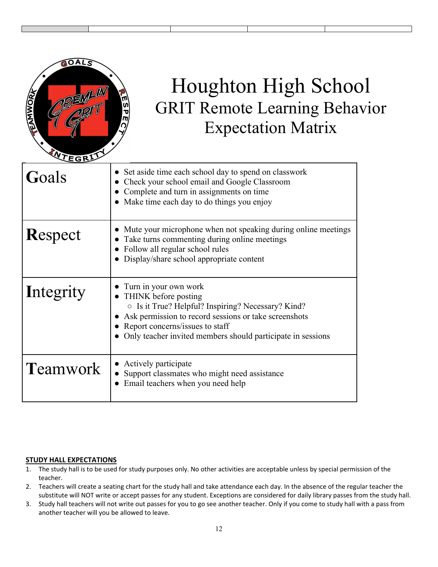

# Houghton High School GRIT Remote Learning Behavior Expectation Matrix

| Goals           | Set aside time each school day to spend on classwork<br>Check your school email and Google Classroom<br>Complete and turn in assignments on time<br>• Make time each day to do things you enjoy                                                                      |
|-----------------|----------------------------------------------------------------------------------------------------------------------------------------------------------------------------------------------------------------------------------------------------------------------|
| <b>Respect</b>  | Mute your microphone when not speaking during online meetings<br>Take turns commenting during online meetings<br>• Follow all regular school rules<br>• Display/share school appropriate content                                                                     |
| Integrity       | Turn in your own work<br>THINK before posting<br>$\circ$ Is it True? Helpful? Inspiring? Necessary? Kind?<br>Ask permission to record sessions or take screenshots<br>Report concerns/issues to staff<br>Only teacher invited members should participate in sessions |
| <b>Teamwork</b> | • Actively participate<br>Support classmates who might need assistance<br>Email teachers when you need help                                                                                                                                                          |

#### **STUDY HALL EXPECTATIONS**

- 1. The study hall is to be used for study purposes only. No other activities are acceptable unless by special permission of the teacher.
- 2. Teachers will create a seating chart for the study hall and take attendance each day. In the absence of the regular teacher the substitute will NOT write or accept passes for any student. Exceptions are considered for daily library passes from the study hall.
- 3. Study hall teachers will not write out passes for you to go see another teacher. Only if you come to study hall with a pass from another teacher will you be allowed to leave.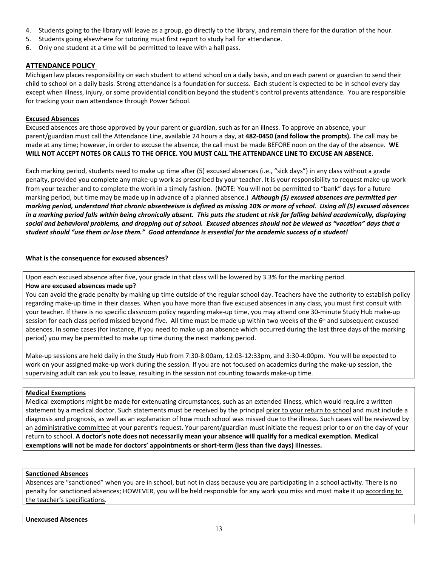- 4. Students going to the library will leave as a group, go directly to the library, and remain there for the duration of the hour.
- 5. Students going elsewhere for tutoring must first report to study hall for attendance.
- 6. Only one student at a time will be permitted to leave with a hall pass.

#### **ATTENDANCE POLICY**

Michigan law places responsibility on each student to attend school on a daily basis, and on each parent or guardian to send their child to school on a daily basis. Strong attendance is a foundation for success. Each student is expected to be in school every day except when illness, injury, or some providential condition beyond the student's control prevents attendance. You are responsible for tracking your own attendance through Power School.

#### **Excused Absences**

Excused absences are those approved by your parent or guardian, such as for an illness. To approve an absence, your parent/guardian must call the Attendance Line, available 24 hours a day, at **482-0450 (and follow the prompts).** The call may be made at any time; however, in order to excuse the absence, the call must be made BEFORE noon on the day of the absence. **WE WILL NOT ACCEPT NOTES OR CALLS TO THE OFFICE. YOU MUST CALL THE ATTENDANCE LINE TO EXCUSE AN ABSENCE.**

Each marking period, students need to make up time after (5) excused absences (i.e., "sick days") in any class without a grade penalty, provided you complete any make-up work as prescribed by your teacher. It is your responsibility to request make-up work from your teacher and to complete the work in a timely fashion. (NOTE: You will not be permitted to "bank" days for a future marking period, but time may be made up in advance of a planned absence.) *Although (5) excused absences are permitted per marking period, understand that chronic absenteeism is defined as missing 10% or more of school. Using all (5) excused absences in a marking period falls within being chronically absent. This puts the student at risk for falling behind academically, displaying social and behavioral problems, and dropping out of school. Excused absences should not be viewed as "vacation" days that a student should "use them or lose them." Good attendance is essential for the academic success of a student!*

#### **What is the consequence for excused absences?**

Upon each excused absence after five, your grade in that class will be lowered by 3.3% for the marking period.

#### **How are excused absences made up?**

You can avoid the grade penalty by making up time outside of the regular school day. Teachers have the authority to establish policy regarding make-up time in their classes. When you have more than five excused absences in any class, you must first consult with your teacher. If there is no specific classroom policy regarding make-up time, you may attend one 30-minute Study Hub make-up session for each class period missed beyond five. All time must be made up within two weeks of the 6<sup>th</sup> and subsequent excused absences. In some cases (for instance, if you need to make up an absence which occurred during the last three days of the marking period) you may be permitted to make up time during the next marking period.

Make-up sessions are held daily in the Study Hub from 7:30-8:00am, 12:03-12:33pm, and 3:30-4:00pm. You will be expected to work on your assigned make-up work during the session. If you are not focused on academics during the make-up session, the supervising adult can ask you to leave, resulting in the session not counting towards make-up time.

#### **Medical Exemptions**

Medical exemptions might be made for extenuating circumstances, such as an extended illness, which would require a written statement by a medical doctor. Such statements must be received by the principal prior to your return to school and must include a diagnosis and prognosis, as well as an explanation of how much school was missed due to the illness. Such cases will be reviewed by an administrative committee at your parent's request. Your parent/guardian must initiate the request prior to or on the day of your return to school. **A doctor's note does not necessarily mean your absence will qualify for a medical exemption. Medical exemptions will not be made for doctors' appointments or short-term (less than five days) illnesses.**

#### **Sanctioned Absences**

Absences are "sanctioned" when you are in school, but not in class because you are participating in a school activity. There is no penalty for sanctioned absences; HOWEVER, you will be held responsible for any work you miss and must make it up according to the teacher's specifications.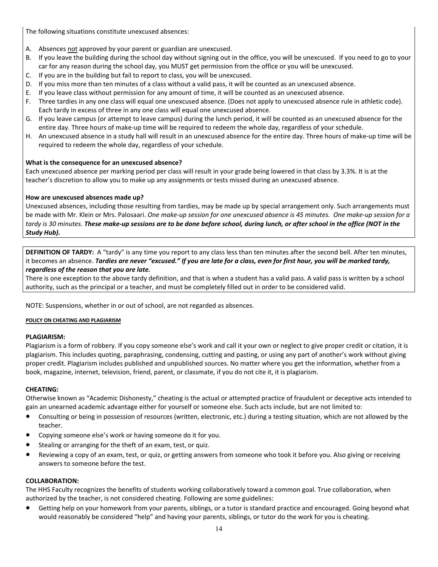The following situations constitute unexcused absences:

- A. Absences not approved by your parent or guardian are unexcused.
- B. If you leave the building during the school day without signing out in the office, you will be unexcused. If you need to go to your car for any reason during the school day, you MUST get permission from the office or you will be unexcused.
- C. If you are in the building but fail to report to class, you will be unexcused.
- D. If you miss more than ten minutes of a class without a valid pass, it will be counted as an unexcused absence.
- E. If you leave class without permission for any amount of time, it will be counted as an unexcused absence.
- F. Three tardies in any one class will equal one unexcused absence. (Does not apply to unexcused absence rule in athletic code). Each tardy in excess of three in any one class will equal one unexcused absence.
- G. If you leave campus (or attempt to leave campus) during the lunch period, it will be counted as an unexcused absence for the entire day. Three hours of make-up time will be required to redeem the whole day, regardless of your schedule.
- H. An unexcused absence in a study hall will result in an unexcused absence for the entire day. Three hours of make-up time will be required to redeem the whole day, regardless of your schedule.

#### **What is the consequence for an unexcused absence?**

Each unexcused absence per marking period per class will result in your grade being lowered in that class by 3.3%. It is at the teacher's discretion to allow you to make up any assignments or tests missed during an unexcused absence.

#### **How are unexcused absences made up?**

Unexcused absences, including those resulting from tardies, may be made up by special arrangement only. Such arrangements must be made with Mr. Klein or Mrs. Palosaari. *One make-up session for one unexcused absence is 45 minutes. One make-up session for a tardy is 30 minutes. These make-up sessions are to be done before school, during lunch, or after school in the office (NOT in the Study Hub).*

**DEFINITION OF TARDY:** A "tardy" is any time you report to any class less than ten minutes after the second bell. After ten minutes, it becomes an absence. *Tardies are never "excused." If you are late for a class, even for first hour, you will be marked tardy, regardless of the reason that you are late.*

There is one exception to the above tardy definition, and that is when a student has a valid pass. A valid pass is written by a school authority, such as the principal or a teacher, and must be completely filled out in order to be considered valid.

NOTE: Suspensions, whether in or out of school, are not regarded as absences.

#### **POLICY ON CHEATING AND PLAGIARISM**

**PLAGIARISM:**<br>Plagiarism is a form of robbery. If you copy someone else's work and call it your own or neglect to give proper credit or citation, it is plagiarism. This includes quoting, paraphrasing, condensing, cutting and pasting, or using any part of another's work without giving proper credit. Plagiarism includes published and unpublished sources. No matter where you get the information, whether from a book, magazine, internet, television, friend, parent, or classmate, if you do not cite it, it is plagiarism.

**CHEATING:** Otherwise known as "Academic Dishonesty," cheating is the actual or attempted practice of fraudulent or deceptive acts intended to gain an unearned academic advantage either for yourself or someone else. Such acts include, but are not limited to:

- Consulting or being in possession of resources (written, electronic, etc.) during a testing situation, which are not allowed by the teacher.
- Copying someone else's work or having someone do it for you.
- Stealing or arranging for the theft of an exam, test, or quiz.
- Reviewing a copy of an exam, test, or quiz, or getting answers from someone who took it before you. Also giving or receiving answers to someone before the test.

**COLLABORATION:** The HHS Faculty recognizes the benefits of students working collaboratively toward a common goal. True collaboration, when authorized by the teacher, is not considered cheating. Following are some guidelines:

● Getting help on your homework from your parents, siblings, or a tutor is standard practice and encouraged. Going beyond what would reasonably be considered "help" and having your parents, siblings, or tutor do the work for you is cheating.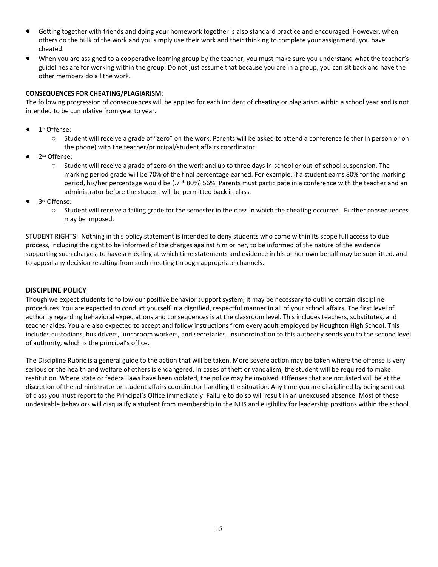- Getting together with friends and doing your homework together is also standard practice and encouraged. However, when others do the bulk of the work and you simply use their work and their thinking to complete your assignment, you have cheated.
- When you are assigned to a cooperative learning group by the teacher, you must make sure you understand what the teacher's guidelines are for working within the group. Do not just assume that because you are in a group, you can sit back and have the other members do all the work.

#### **CONSEQUENCES FOR CHEATING/PLAGIARISM:**

The following progression of consequences will be applied for each incident of cheating or plagiarism within a school year and is not intended to be cumulative from year to year.

- 1st Offense:
	- o Student will receive a grade of "zero" on the work. Parents will be asked to attend a conference (either in person or on the phone) with the teacher/principal/student affairs coordinator.
- 2<sup>nd</sup> Offense:
	- o Student will receive a grade of zero on the work and up to three days in-school or out-of-school suspension. The marking period grade will be 70% of the final percentage earned. For example, if a student earns 80% for the marking period, his/her percentage would be (.7 \* 80%) 56%. Parents must participate in a conference with the teacher and an administrator before the student will be permitted back in class.
- 3rd Offense:
	- $\circ$  Student will receive a failing grade for the semester in the class in which the cheating occurred. Further consequences may be imposed.

STUDENT RIGHTS: Nothing in this policy statement is intended to deny students who come within its scope full access to due process, including the right to be informed of the charges against him or her, to be informed of the nature of the evidence supporting such charges, to have a meeting at which time statements and evidence in his or her own behalf may be submitted, and to appeal any decision resulting from such meeting through appropriate channels.

#### **DISCIPLINE POLICY**

Though we expect students to follow our positive behavior support system, it may be necessary to outline certain discipline procedures. You are expected to conduct yourself in a dignified, respectful manner in all of your school affairs. The first level of authority regarding behavioral expectations and consequences is at the classroom level. This includes teachers, substitutes, and teacher aides. You are also expected to accept and follow instructions from every adult employed by Houghton High School. This includes custodians, bus drivers, lunchroom workers, and secretaries. Insubordination to this authority sends you to the second level of authority, which is the principal's office.

The Discipline Rubric is a general guide to the action that will be taken. More severe action may be taken where the offense is very serious or the health and welfare of others is endangered. In cases of theft or vandalism, the student will be required to make restitution. Where state or federal laws have been violated, the police may be involved. Offenses that are not listed will be at the discretion of the administrator or student affairs coordinator handling the situation. Any time you are disciplined by being sent out of class you must report to the Principal's Office immediately. Failure to do so will result in an unexcused absence. Most of these undesirable behaviors will disqualify a student from membership in the NHS and eligibility for leadership positions within the school.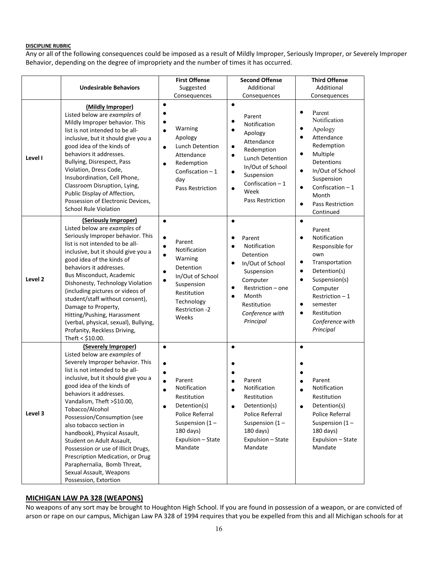#### **DISCIPLINE RUBRIC**

Any or all of the following consequences could be imposed as a result of Mildly Improper, Seriously Improper, or Severely Improper Behavior, depending on the degree of impropriety and the number of times it has occurred.

|         |                                                                                                                                                                                                                                                                                                                                                                                                                                                                                                                                                                 | <b>First Offense</b>                                                                                                                                                                 | <b>Second Offense</b>                                                                                                                                                                                        | <b>Third Offense</b>                                                                                                                                                                                                                                             |
|---------|-----------------------------------------------------------------------------------------------------------------------------------------------------------------------------------------------------------------------------------------------------------------------------------------------------------------------------------------------------------------------------------------------------------------------------------------------------------------------------------------------------------------------------------------------------------------|--------------------------------------------------------------------------------------------------------------------------------------------------------------------------------------|--------------------------------------------------------------------------------------------------------------------------------------------------------------------------------------------------------------|------------------------------------------------------------------------------------------------------------------------------------------------------------------------------------------------------------------------------------------------------------------|
|         | <b>Undesirable Behaviors</b>                                                                                                                                                                                                                                                                                                                                                                                                                                                                                                                                    | Suggested                                                                                                                                                                            | Additional                                                                                                                                                                                                   | Additional                                                                                                                                                                                                                                                       |
|         |                                                                                                                                                                                                                                                                                                                                                                                                                                                                                                                                                                 | Consequences                                                                                                                                                                         | Consequences                                                                                                                                                                                                 | Consequences                                                                                                                                                                                                                                                     |
| Level I | (Mildly Improper)<br>Listed below are examples of<br>Mildly Improper behavior. This<br>list is not intended to be all-<br>inclusive, but it should give you a<br>good idea of the kinds of<br>behaviors it addresses.<br>Bullying, Disrespect, Pass<br>Violation, Dress Code,<br>Insubordination, Cell Phone,<br>Classroom Disruption, Lying,<br>Public Display of Affection,<br>Possession of Electronic Devices,<br><b>School Rule Violation</b>                                                                                                              | ٠<br>Warning<br>$\bullet$<br>Apology<br><b>Lunch Detention</b><br>Attendance<br>Redemption<br>Confiscation $-1$<br>day<br>Pass Restriction                                           | $\bullet$<br>Parent<br>Notification<br>Apology<br>Attendance<br>٠<br>Redemption<br>٠<br>Lunch Detention<br>In/Out of School<br>٠<br>Suspension<br>Confiscation $-1$<br>$\bullet$<br>Week<br>Pass Restriction | Parent<br>٠<br>Notification<br>Apology<br>٠<br>Attendance<br>Redemption<br>Multiple<br>$\bullet$<br><b>Detentions</b><br>In/Out of School<br>$\bullet$<br>Suspension<br>Confiscation $-1$<br>$\bullet$<br>Month<br>Pass Restriction<br>$\bullet$<br>Continued    |
| Level 2 | (Seriously Improper)<br>Listed below are examples of<br>Seriously Improper behavior. This<br>list is not intended to be all-<br>inclusive, but it should give you a<br>good idea of the kinds of<br>behaviors it addresses.<br>Bus Misconduct, Academic<br>Dishonesty, Technology Violation<br>(including pictures or videos of<br>student/staff without consent),<br>Damage to Property,<br>Hitting/Pushing, Harassment<br>(verbal, physical, sexual), Bullying,<br>Profanity, Reckless Driving,<br>Theft < $$10.00$ .                                         | $\bullet$<br>٠<br>Parent<br>$\bullet$<br>Notification<br>$\bullet$<br>Warning<br>Detention<br>In/Out of School<br>Suspension<br>Restitution<br>Technology<br>Restriction -2<br>Weeks | Parent<br>Notification<br>Detention<br>In/Out of School<br>Suspension<br>Computer<br>$\bullet$<br>Restriction - one<br>Month<br>$\bullet$<br>Restitution<br>Conference with<br>Principal                     | ٠<br>Parent<br>Notification<br>٠<br>Responsible for<br>own<br>Transportation<br>$\bullet$<br>Detention(s)<br>$\bullet$<br>Suspension(s)<br>$\bullet$<br>Computer<br>Restriction - 1<br>semester<br>$\bullet$<br>Restitution<br>٠<br>Conference with<br>Principal |
| Level 3 | (Severely Improper)<br>Listed below are examples of<br>Severely Improper behavior. This<br>list is not intended to be all-<br>inclusive, but it should give you a<br>good idea of the kinds of<br>behaviors it addresses.<br>Vandalism, Theft >\$10.00,<br>Tobacco/Alcohol<br>Possession/Consumption (see<br>also tobacco section in<br>handbook), Physical Assault,<br>Student on Adult Assault,<br>Possession or use of Illicit Drugs,<br>Prescription Medication, or Drug<br>Paraphernalia, Bomb Threat,<br>Sexual Assault, Weapons<br>Possession, Extortion | $\bullet$<br>Parent<br>Notification<br>Restitution<br>Detention(s)<br>Police Referral<br>Suspension $(1 -$<br>180 days)<br>Expulsion - State<br>Mandate                              | $\bullet$<br>Parent<br>Notification<br>Restitution<br>Detention(s)<br>Police Referral<br>Suspension $(1 -$<br>180 days)<br>Expulsion - State<br>Mandate                                                      | $\bullet$<br>Parent<br>Notification<br>Restitution<br>Detention(s)<br>$\bullet$<br>Police Referral<br>Suspension $(1 -$<br>180 days)<br>Expulsion - State<br>Mandate                                                                                             |

#### **MICHIGAN LAW PA 328 (WEAPONS)**

No weapons of any sort may be brought to Houghton High School. If you are found in possession of a weapon, or are convicted of arson or rape on our campus, Michigan Law PA 328 of 1994 requires that you be expelled from this and all Michigan schools for at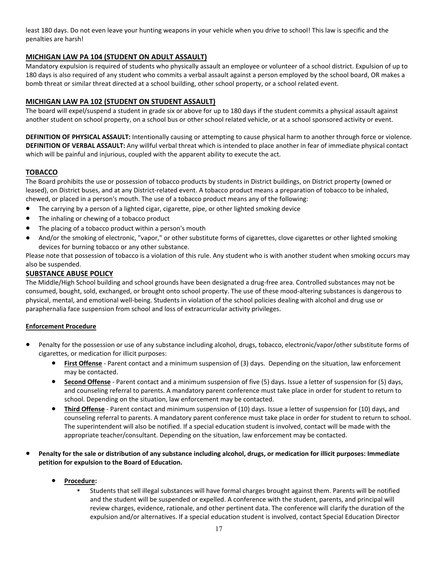least 180 days. Do not even leave your hunting weapons in your vehicle when you drive to school! This law is specific and the penalties are harsh!

#### **MICHIGAN LAW PA 104 (STUDENT ON ADULT ASSAULT)**

Mandatory expulsion is required of students who physically assault an employee or volunteer of a school district. Expulsion of up to 180 days is also required of any student who commits a verbal assault against a person employed by the school board, OR makes a bomb threat or similar threat directed at a school building, other school property, or a school related event.

#### **MICHIGAN LAW PA 102 (STUDENT ON STUDENT ASSAULT)**

The board will expel/suspend a student in grade six or above for up to 180 days if the student commits a physical assault against another student on school property, on a school bus or other school related vehicle, or at a school sponsored activity or event.

**DEFINITION OF PHYSICAL ASSAULT:** Intentionally causing or attempting to cause physical harm to another through force or violence. **DEFINITION OF VERBAL ASSAULT:** Any willful verbal threat which is intended to place another in fear of immediate physical contact which will be painful and injurious, coupled with the apparent ability to execute the act.

#### **TOBACCO**

The Board prohibits the use or possession of tobacco products by students in District buildings, on District property (owned or leased), on District buses, and at any District-related event. A tobacco product means a preparation of tobacco to be inhaled, chewed, or placed in a person's mouth. The use of a tobacco product means any of the following:

- The carrying by a person of a lighted cigar, cigarette, pipe, or other lighted smoking device
- The inhaling or chewing of a tobacco product
- The placing of a tobacco product within a person's mouth
- And/or the smoking of electronic, "vapor," or other substitute forms of cigarettes, clove cigarettes or other lighted smoking devices for burning tobacco or any other substance.

Please note that possession of tobacco is a violation of this rule. Any student who is with another student when smoking occurs may also be suspended.

#### **SUBSTANCE ABUSE POLICY**

The Middle/High School building and school grounds have been designated a drug-free area. Controlled substances may not be consumed, bought, sold, exchanged, or brought onto school property. The use of these mood-altering substances is dangerous to physical, mental, and emotional well-being. Students in violation of the school policies dealing with alcohol and drug use or paraphernalia face suspension from school and loss of extracurricular activity privileges.

#### **Enforcement Procedure**

- Penalty for the possession or use of any substance including alcohol, drugs, tobacco, electronic/vapor/other substitute forms of cigarettes, or medication for illicit purposes:
	- **First Offense** Parent contact and a minimum suspension of (3) days. Depending on the situation, law enforcement may be contacted.
	- **Second Offense** Parent contact and a minimum suspension of five (5) days. Issue a letter of suspension for (5) days, and counseling referral to parents. A mandatory parent conference must take place in order for student to return to school. Depending on the situation, law enforcement may be contacted.
	- **Third Offense** Parent contact and minimum suspension of (10) days. Issue a letter of suspension for (10) days, and counseling referral to parents. A mandatory parent conference must take place in order for student to return to school. The superintendent will also be notified. If a special education student is involved, contact will be made with the appropriate teacher/consultant. Depending on the situation, law enforcement may be contacted.
- **Penalty for the sale or distribution of any substance including alcohol, drugs, or medication for illicit purposes: Immediate petition for expulsion to the Board of Education.**
	- **Procedure:**
		- Students that sell illegal substances will have formal charges brought against them. Parents will be notified and the student will be suspended or expelled. A conference with the student, parents, and principal will review charges, evidence, rationale, and other pertinent data. The conference will clarify the duration of the expulsion and/or alternatives. If a special education student is involved, contact Special Education Director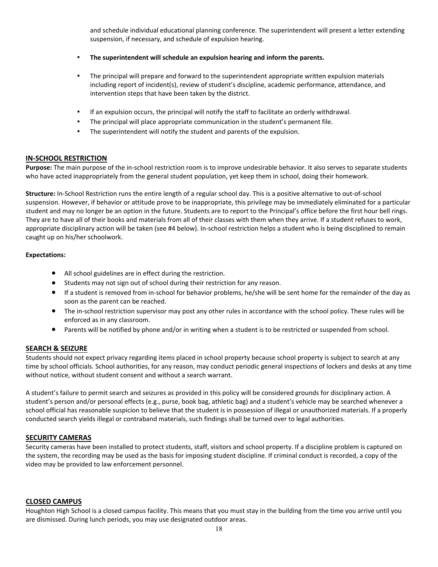and schedule individual educational planning conference. The superintendent will present a letter extending suspension, if necessary, and schedule of expulsion hearing.

- **The superintendent will schedule an expulsion hearing and inform the parents.**
- The principal will prepare and forward to the superintendent appropriate written expulsion materials including report of incident(s), review of student's discipline, academic performance, attendance, and intervention steps that have been taken by the district.
- If an expulsion occurs, the principal will notify the staff to facilitate an orderly withdrawal.
- The principal will place appropriate communication in the student's permanent file.
- The superintendent will notify the student and parents of the expulsion.

#### **IN-SCHOOL RESTRICTION**

**Purpose:** The main purpose of the in-school restriction room is to improve undesirable behavior. It also serves to separate students who have acted inappropriately from the general student population, yet keep them in school, doing their homework.

**Structure:** In-School Restriction runs the entire length of a regular school day. This is a positive alternative to out-of-school suspension. However, if behavior or attitude prove to be inappropriate, this privilege may be immediately eliminated for a particular student and may no longer be an option in the future. Students are to report to the Principal's office before the first hour bell rings. They are to have all of their books and materials from all of their classes with them when they arrive. If a student refuses to work, appropriate disciplinary action will be taken (see #4 below). In-school restriction helps a student who is being disciplined to remain caught up on his/her schoolwork.

#### **Expectations:**

- All school guidelines are in effect during the restriction.
- Students may not sign out of school during their restriction for any reason.
- If a student is removed from in-school for behavior problems, he/she will be sent home for the remainder of the day as soon as the parent can be reached.
- The in-school restriction supervisor may post any other rules in accordance with the school policy. These rules will be enforced as in any classroom.
- Parents will be notified by phone and/or in writing when a student is to be restricted or suspended from school.

#### **SEARCH & SEIZURE**

Students should not expect privacy regarding items placed in school property because school property is subject to search at any time by school officials. School authorities, for any reason, may conduct periodic general inspections of lockers and desks at any time without notice, without student consent and without a search warrant.

A student's failure to permit search and seizures as provided in this policy will be considered grounds for disciplinary action. A student's person and/or personal effects (e.g., purse, book bag, athletic bag) and a student's vehicle may be searched whenever a school official has reasonable suspicion to believe that the student is in possession of illegal or unauthorized materials. If a properly conducted search yields illegal or contraband materials, such findings shall be turned over to legal authorities.

#### **SECURITY CAMERAS**

Security cameras have been installed to protect students, staff, visitors and school property. If a discipline problem is captured on the system, the recording may be used as the basis for imposing student discipline. If criminal conduct is recorded, a copy of the video may be provided to law enforcement personnel.

#### **CLOSED CAMPUS**

Houghton High School is a closed campus facility. This means that you must stay in the building from the time you arrive until you are dismissed. During lunch periods, you may use designated outdoor areas.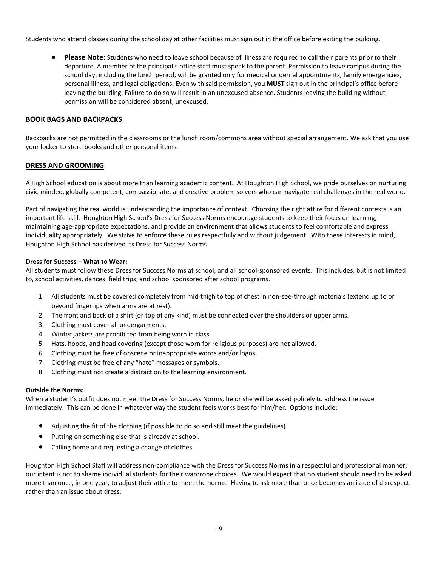Students who attend classes during the school day at other facilities must sign out in the office before exiting the building.

● **Please Note:** Students who need to leave school because of illness are required to call their parents prior to their departure. A member of the principal's office staff must speak to the parent. Permission to leave campus during the school day, including the lunch period, will be granted only for medical or dental appointments, family emergencies, personal illness, and legal obligations. Even with said permission, you **MUST** sign out in the principal's office before leaving the building. Failure to do so will result in an unexcused absence. Students leaving the building without permission will be considered absent, unexcused.

#### **BOOK BAGS AND BACKPACKS**

Backpacks are not permitted in the classrooms or the lunch room/commons area without special arrangement. We ask that you use your locker to store books and other personal items.

#### **DRESS AND GROOMING**

A High School education is about more than learning academic content. At Houghton High School, we pride ourselves on nurturing civic-minded, globally competent, compassionate, and creative problem solvers who can navigate real challenges in the real world.

Part of navigating the real world is understanding the importance of context. Choosing the right attire for different contexts is an important life skill. Houghton High School's Dress for Success Norms encourage students to keep their focus on learning, maintaining age-appropriate expectations, and provide an environment that allows students to feel comfortable and express individuality appropriately. We strive to enforce these rules respectfully and without judgement. With these interests in mind, Houghton High School has derived its Dress for Success Norms.

#### **Dress for Success – What to Wear:**

All students must follow these Dress for Success Norms at school, and all school-sponsored events. This includes, but is not limited to, school activities, dances, field trips, and school sponsored after school programs.

- 1. All students must be covered completely from mid-thigh to top of chest in non-see-through materials (extend up to or beyond fingertips when arms are at rest).
- 2. The front and back of a shirt (or top of any kind) must be connected over the shoulders or upper arms.
- 3. Clothing must cover all undergarments.
- 4. Winter jackets are prohibited from being worn in class.
- 5. Hats, hoods, and head covering (except those worn for religious purposes) are not allowed.
- 6. Clothing must be free of obscene or inappropriate words and/or logos.
- 7. Clothing must be free of any "hate" messages or symbols.
- 8. Clothing must not create a distraction to the learning environment.

#### **Outside the Norms:**

When a student's outfit does not meet the Dress for Success Norms, he or she will be asked politely to address the issue immediately. This can be done in whatever way the student feels works best for him/her. Options include:

- Adjusting the fit of the clothing (if possible to do so and still meet the guidelines).
- Putting on something else that is already at school.
- Calling home and requesting a change of clothes.

Houghton High School Staff will address non-compliance with the Dress for Success Norms in a respectful and professional manner; our intent is not to shame individual students for their wardrobe choices. We would expect that no student should need to be asked more than once, in one year, to adjust their attire to meet the norms. Having to ask more than once becomes an issue of disrespect rather than an issue about dress.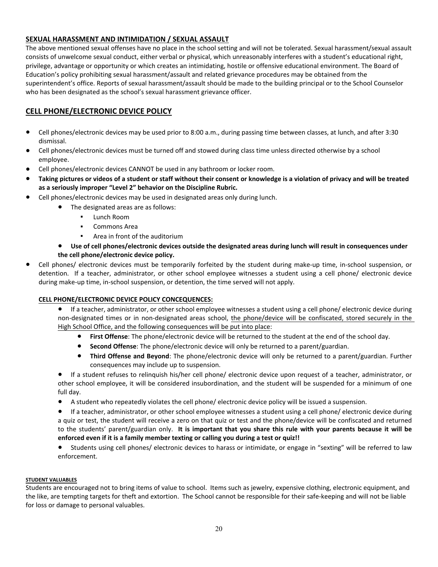#### **SEXUAL HARASSMENT AND INTIMIDATION / SEXUAL ASSAULT**

The above mentioned sexual offenses have no place in the school setting and will not be tolerated. Sexual harassment/sexual assault consists of unwelcome sexual conduct, either verbal or physical, which unreasonably interferes with a student's educational right, privilege, advantage or opportunity or which creates an intimidating, hostile or offensive educational environment. The Board of Education's policy prohibiting sexual harassment/assault and related grievance procedures may be obtained from the superintendent's office. Reports of sexual harassment/assault should be made to the building principal or to the School Counselor who has been designated as the school's sexual harassment grievance officer.

#### **CELL PHONE/ELECTRONIC DEVICE POLICY**

- Cell phones/electronic devices may be used prior to 8:00 a.m., during passing time between classes, at lunch, and after 3:30 dismissal.
- Cell phones/electronic devices must be turned off and stowed during class time unless directed otherwise by a school employee.
- Cell phones/electronic devices CANNOT be used in any bathroom or locker room.
- **Taking pictures or videos of a student or staff without their consent or knowledge is a violation of privacy and will be treated as a seriously improper "Level 2" behavior on the Discipline Rubric.**
- Cell phones/electronic devices may be used in designated areas only during lunch.
	- The designated areas are as follows:
		- Lunch Room
		- Commons Area
		- Area in front of the auditorium
	- Use of cell phones/electronic devices outside the designated areas during lunch will result in consequences under **the cell phone/electronic device policy.**
- Cell phones/ electronic devices must be temporarily forfeited by the student during make-up time, in-school suspension, or detention. If a teacher, administrator, or other school employee witnesses a student using a cell phone/ electronic device during make-up time, in-school suspension, or detention, the time served will not apply.

#### **CELL PHONE/ELECTRONIC DEVICE POLICY CONCEQUENCES:**

- If a teacher, administrator, or other school employee witnesses a student using a cell phone/ electronic device during non-designated times or in non-designated areas school, the phone/device will be confiscated, stored securely in the High School Office, and the following consequences will be put into place:
	- **First Offense**: The phone/electronic device will be returned to the student at the end of the school day.
	- **Second Offense**: The phone/electronic device will only be returned to a parent/guardian.
	- **Third Offense and Beyond**: The phone/electronic device will only be returned to a parent/guardian. Further consequences may include up to suspension.

If a student refuses to relinquish his/her cell phone/ electronic device upon request of a teacher, administrator, or other school employee, it will be considered insubordination, and the student will be suspended for a minimum of one full day.

● A student who repeatedly violates the cell phone/ electronic device policy will be issued a suspension.

● If a teacher, administrator, or other school employee witnesses a student using a cell phone/ electronic device during a quiz or test, the student will receive a zero on that quiz or test and the phone/device will be confiscated and returned to the students' parent/guardian only. **It is important that you share this rule with your parents because it will be enforced even if it is a family member texting or calling you during a test or quiz!!**

● Students using cell phones/ electronic devices to harass or intimidate, or engage in "sexting" will be referred to law enforcement.

#### **STUDENT VALUABLES**

Students are encouraged not to bring items of value to school. Items such as jewelry, expensive clothing, electronic equipment, and the like, are tempting targets for theft and extortion. The School cannot be responsible for their safe-keeping and will not be liable for loss or damage to personal valuables.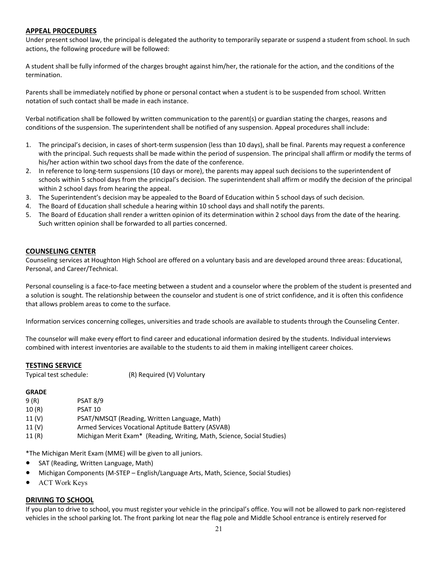#### **APPEAL PROCEDURES**

Under present school law, the principal is delegated the authority to temporarily separate or suspend a student from school. In such actions, the following procedure will be followed:

A student shall be fully informed of the charges brought against him/her, the rationale for the action, and the conditions of the termination.

Parents shall be immediately notified by phone or personal contact when a student is to be suspended from school. Written notation of such contact shall be made in each instance.

Verbal notification shall be followed by written communication to the parent(s) or guardian stating the charges, reasons and conditions of the suspension. The superintendent shall be notified of any suspension. Appeal procedures shall include:

- 1. The principal's decision, in cases of short-term suspension (less than 10 days), shall be final. Parents may request a conference with the principal. Such requests shall be made within the period of suspension. The principal shall affirm or modify the terms of his/her action within two school days from the date of the conference.
- 2. In reference to long-term suspensions (10 days or more), the parents may appeal such decisions to the superintendent of schools within 5 school days from the principal's decision. The superintendent shall affirm or modify the decision of the principal within 2 school days from hearing the appeal.
- 3. The Superintendent's decision may be appealed to the Board of Education within 5 school days of such decision.
- 4. The Board of Education shall schedule a hearing within 10 school days and shall notify the parents.
- 5. The Board of Education shall render a written opinion of its determination within 2 school days from the date of the hearing. Such written opinion shall be forwarded to all parties concerned.

#### **COUNSELING CENTER**

Counseling services at Houghton High School are offered on a voluntary basis and are developed around three areas: Educational, Personal, and Career/Technical.

Personal counseling is a face-to-face meeting between a student and a counselor where the problem of the student is presented and a solution is sought. The relationship between the counselor and student is one of strict confidence, and it is often this confidence that allows problem areas to come to the surface.

Information services concerning colleges, universities and trade schools are available to students through the Counseling Center.

The counselor will make every effort to find career and educational information desired by the students. Individual interviews combined with interest inventories are available to the students to aid them in making intelligent career choices.

#### **TESTING SERVICE**

Typical test schedule: (R) Required (V) Voluntary

#### **GRADE**

| 9 (R)             | PSAT 8/9                                                                           |
|-------------------|------------------------------------------------------------------------------------|
| 10(R)             | PSAT 10                                                                            |
| 11 (V)            | PSAT/NMSQT (Reading, Written Language, Math)                                       |
| 11 <sub>(V)</sub> | Armed Services Vocational Aptitude Battery (ASVAB)                                 |
| 11(R)             | Michigan Merit Exam <sup>*</sup> (Reading, Writing, Math, Science, Social Studies) |

\*The Michigan Merit Exam (MME) will be given to all juniors.

- SAT (Reading, Written Language, Math)
- Michigan Components (M-STEP English/Language Arts, Math, Science, Social Studies)
- **ACT Work Keys**

#### **DRIVING TO SCHOOL**

If you plan to drive to school, you must register your vehicle in the principal's office. You will not be allowed to park non-registered vehicles in the school parking lot. The front parking lot near the flag pole and Middle School entrance is entirely reserved for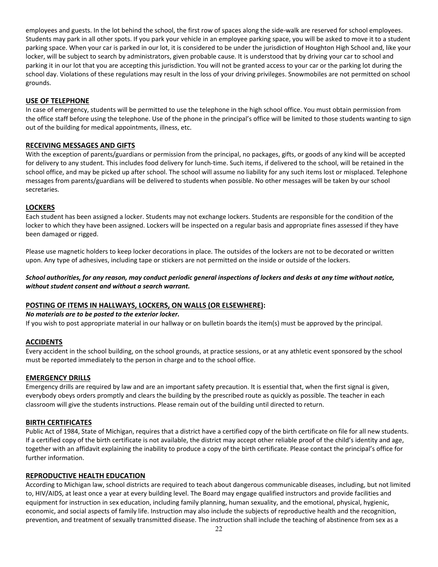employees and guests. In the lot behind the school, the first row of spaces along the side-walk are reserved for school employees. Students may park in all other spots. If you park your vehicle in an employee parking space, you will be asked to move it to a student parking space. When your car is parked in our lot, it is considered to be under the jurisdiction of Houghton High School and, like your locker, will be subject to search by administrators, given probable cause. It is understood that by driving your car to school and parking it in our lot that you are accepting this jurisdiction. You will not be granted access to your car or the parking lot during the school day. Violations of these regulations may result in the loss of your driving privileges. Snowmobiles are not permitted on school grounds.

#### **USE OF TELEPHONE**

In case of emergency, students will be permitted to use the telephone in the high school office. You must obtain permission from the office staff before using the telephone. Use of the phone in the principal's office will be limited to those students wanting to sign out of the building for medical appointments, illness, etc.

#### **RECEIVING MESSAGES AND GIFTS**

With the exception of parents/guardians or permission from the principal, no packages, gifts, or goods of any kind will be accepted for delivery to any student. This includes food delivery for lunch-time. Such items, if delivered to the school, will be retained in the school office, and may be picked up after school. The school will assume no liability for any such items lost or misplaced. Telephone messages from parents/guardians will be delivered to students when possible. No other messages will be taken by our school secretaries.

#### **LOCKERS**

Each student has been assigned a locker. Students may not exchange lockers. Students are responsible for the condition of the locker to which they have been assigned. Lockers will be inspected on a regular basis and appropriate fines assessed if they have been damaged or rigged.

Please use magnetic holders to keep locker decorations in place. The outsides of the lockers are not to be decorated or written upon. Any type of adhesives, including tape or stickers are not permitted on the inside or outside of the lockers.

#### *School authorities, for any reason, may conduct periodic general inspections of lockers and desks at any time without notice, without student consent and without a search warrant.*

#### **POSTING OF ITEMS IN HALLWAYS, LOCKERS, ON WALLS (OR ELSEWHERE):**

#### *No materials are to be posted to the exterior locker.*

If you wish to post appropriate material in our hallway or on bulletin boards the item(s) must be approved by the principal.

#### **ACCIDENTS**

Every accident in the school building, on the school grounds, at practice sessions, or at any athletic event sponsored by the school must be reported immediately to the person in charge and to the school office.

#### **EMERGENCY DRILLS**

Emergency drills are required by law and are an important safety precaution. It is essential that, when the first signal is given, everybody obeys orders promptly and clears the building by the prescribed route as quickly as possible. The teacher in each classroom will give the students instructions. Please remain out of the building until directed to return.

#### **BIRTH CERTIFICATES**

Public Act of 1984, State of Michigan, requires that a district have a certified copy of the birth certificate on file for all new students. If a certified copy of the birth certificate is not available, the district may accept other reliable proof of the child's identity and age, together with an affidavit explaining the inability to produce a copy of the birth certificate. Please contact the principal's office for further information.

#### **REPRODUCTIVE HEALTH EDUCATION**

According to Michigan law, school districts are required to teach about dangerous communicable diseases, including, but not limited to, HIV/AIDS, at least once a year at every building level. The Board may engage qualified instructors and provide facilities and equipment for instruction in sex education, including family planning, human sexuality, and the emotional, physical, hygienic, economic, and social aspects of family life. Instruction may also include the subjects of reproductive health and the recognition, prevention, and treatment of sexually transmitted disease. The instruction shall include the teaching of abstinence from sex as a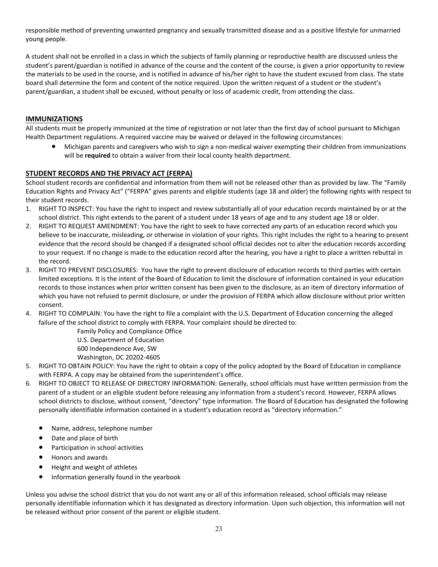responsible method of preventing unwanted pregnancy and sexually transmitted disease and as a positive lifestyle for unmarried young people.

A student shall not be enrolled in a class in which the subjects of family planning or reproductive health are discussed unless the student's parent/guardian is notified in advance of the course and the content of the course, is given a prior opportunity to review the materials to be used in the course, and is notified in advance of his/her right to have the student excused from class. The state board shall determine the form and content of the notice required. Upon the written request of a student or the student's parent/guardian, a student shall be excused, without penalty or loss of academic credit, from attending the class.

#### **IMMUNIZATIONS**

All students must be properly immunized at the time of registration or not later than the first day of school pursuant to Michigan Health Department regulations. A required vaccine may be waived or delayed in the following circumstances:

Michigan parents and caregivers who wish to sign a non-medical waiver exempting their children from immunizations will be **required** to obtain a waiver from their local county health department.

#### **STUDENT RECORDS AND THE PRIVACY ACT (FERPA)**

School student records are confidential and information from them will not be released other than as provided by law. The "Family Education Rights and Privacy Act" ("FERPA" gives parents and eligible students (age 18 and older) the following rights with respect to their student records.

- 1. RIGHT TO INSPECT: You have the right to inspect and review substantially all of your education records maintained by or at the school district. This right extends to the parent of a student under 18 years of age and to any student age 18 or older.
- 2. RIGHT TO REQUEST AMENDMENT: You have the right to seek to have corrected any parts of an education record which you believe to be inaccurate, misleading, or otherwise in violation of your rights. This right includes the right to a hearing to present evidence that the record should be changed if a designated school official decides not to alter the education records according to your request. If no change is made to the education record after the hearing, you have a right to place a written rebuttal in the record.
- 3. RIGHT TO PREVENT DISCLOSURES: You have the right to prevent disclosure of education records to third parties with certain limited exceptions. It is the intent of the Board of Education to limit the disclosure of information contained in your education records to those instances when prior written consent has been given to the disclosure, as an item of directory information of which you have not refused to permit disclosure, or under the provision of FERPA which allow disclosure without prior written consent.
- 4. RIGHT TO COMPLAIN: You have the right to file a complaint with the U.S. Department of Education concerning the alleged failure of the school district to comply with FERPA. Your complaint should be directed to:

Family Policy and Compliance Office U.S. Department of Education 600 Independence Ave, SW Washington, DC 20202-4605

- 5. RIGHT TO OBTAIN POLICY: You have the right to obtain a copy of the policy adopted by the Board of Education in compliance with FERPA. A copy may be obtained from the superintendent's office.
- 6. RIGHT TO OBJECT TO RELEASE OF DIRECTORY INFORMATION: Generally, school officials must have written permission from the parent of a student or an eligible student before releasing any information from a student's record. However, FERPA allows school districts to disclose, without consent, "directory" type information. The Board of Education has designated the following personally identifiable information contained in a student's education record as "directory information."
	- Name, address, telephone number
	- Date and place of birth
	- Participation in school activities
	- Honors and awards
	- Height and weight of athletes
	- Information generally found in the yearbook

Unless you advise the school district that you do not want any or all of this information released, school officials may release personally identifiable information which it has designated as directory information. Upon such objection, this information will not be released without prior consent of the parent or eligible student.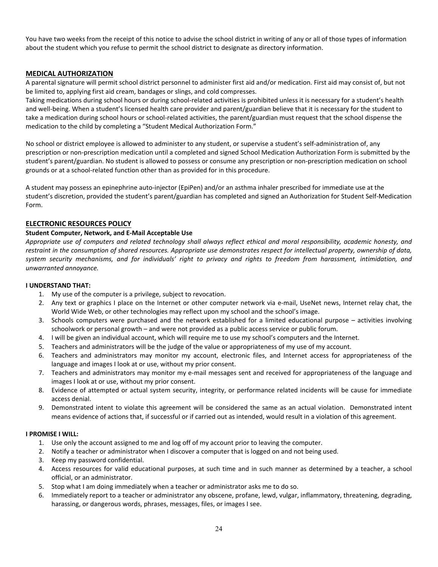You have two weeks from the receipt of this notice to advise the school district in writing of any or all of those types of information about the student which you refuse to permit the school district to designate as directory information.

#### **MEDICAL AUTHORIZATION**

A parental signature will permit school district personnel to administer first aid and/or medication. First aid may consist of, but not be limited to, applying first aid cream, bandages or slings, and cold compresses.

Taking medications during school hours or during school-related activities is prohibited unless it is necessary for a student's health and well-being. When a student's licensed health care provider and parent/guardian believe that it is necessary for the student to take a medication during school hours or school-related activities, the parent/guardian must request that the school dispense the medication to the child by completing a "Student Medical Authorization Form."

No school or district employee is allowed to administer to any student, or supervise a student's self-administration of, any prescription or non-prescription medication until a completed and signed School Medication Authorization Form is submitted by the student's parent/guardian. No student is allowed to possess or consume any prescription or non-prescription medication on school grounds or at a school-related function other than as provided for in this procedure.

A student may possess an epinephrine auto-injector (EpiPen) and/or an asthma inhaler prescribed for immediate use at the student's discretion, provided the student's parent/guardian has completed and signed an Authorization for Student Self-Medication Form.

#### **ELECTRONIC RESOURCES POLICY**

#### **Student Computer, Network, and E-Mail Acceptable Use**

*Appropriate use of computers and related technology shall always reflect ethical and moral responsibility, academic honesty, and restraint in the consumption of shared resources. Appropriate use demonstrates respect for intellectual property, ownership of data, system security mechanisms, and for individuals' right to privacy and rights to freedom from harassment, intimidation, and unwarranted annoyance.*

#### **I UNDERSTAND THAT:**

- 1. My use of the computer is a privilege, subject to revocation.
- 2. Any text or graphics I place on the Internet or other computer network via e-mail, UseNet news, Internet relay chat, the World Wide Web, or other technologies may reflect upon my school and the school's image.
- 3. Schools computers were purchased and the network established for a limited educational purpose activities involving schoolwork or personal growth – and were not provided as a public access service or public forum.
- 4. I will be given an individual account, which will require me to use my school's computers and the Internet.
- 5. Teachers and administrators will be the judge of the value or appropriateness of my use of my account.
- 6. Teachers and administrators may monitor my account, electronic files, and Internet access for appropriateness of the language and images I look at or use, without my prior consent.
- 7. Teachers and administrators may monitor my e-mail messages sent and received for appropriateness of the language and images I look at or use, without my prior consent.
- 8. Evidence of attempted or actual system security, integrity, or performance related incidents will be cause for immediate access denial.
- 9. Demonstrated intent to violate this agreement will be considered the same as an actual violation. Demonstrated intent means evidence of actions that, if successful or if carried out as intended, would result in a violation of this agreement.

#### **I PROMISE I WILL:**

- 1. Use only the account assigned to me and log off of my account prior to leaving the computer.
- 2. Notify a teacher or administrator when I discover a computer that is logged on and not being used.
- 3. Keep my password confidential.
- 4. Access resources for valid educational purposes, at such time and in such manner as determined by a teacher, a school official, or an administrator.
- 5. Stop what I am doing immediately when a teacher or administrator asks me to do so.
- 6. Immediately report to a teacher or administrator any obscene, profane, lewd, vulgar, inflammatory, threatening, degrading, harassing, or dangerous words, phrases, messages, files, or images I see.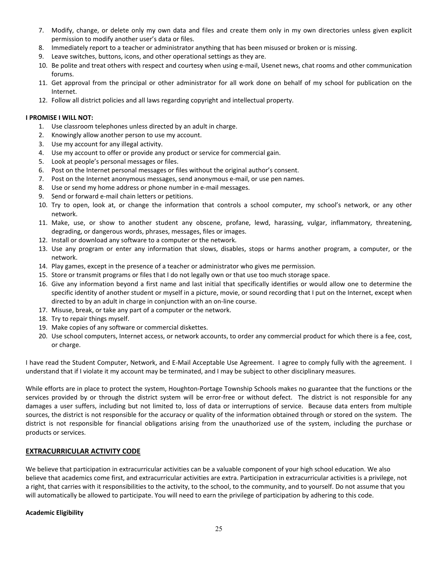- 7. Modify, change, or delete only my own data and files and create them only in my own directories unless given explicit permission to modify another user's data or files.
- 8. Immediately report to a teacher or administrator anything that has been misused or broken or is missing.
- 9. Leave switches, buttons, icons, and other operational settings as they are.
- 10. Be polite and treat others with respect and courtesy when using e-mail, Usenet news, chat rooms and other communication forums.
- 11. Get approval from the principal or other administrator for all work done on behalf of my school for publication on the Internet.
- 12. Follow all district policies and all laws regarding copyright and intellectual property.

#### **I PROMISE I WILL NOT:**

- 1. Use classroom telephones unless directed by an adult in charge.
- 2. Knowingly allow another person to use my account.
- 3. Use my account for any illegal activity.
- 4. Use my account to offer or provide any product or service for commercial gain.
- 5. Look at people's personal messages or files.
- 6. Post on the Internet personal messages or files without the original author's consent.
- 7. Post on the Internet anonymous messages, send anonymous e-mail, or use pen names.
- 8. Use or send my home address or phone number in e-mail messages.
- 9. Send or forward e-mail chain letters or petitions.
- 10. Try to open, look at, or change the information that controls a school computer, my school's network, or any other network.
- 11. Make, use, or show to another student any obscene, profane, lewd, harassing, vulgar, inflammatory, threatening, degrading, or dangerous words, phrases, messages, files or images.
- 12. Install or download any software to a computer or the network.
- 13. Use any program or enter any information that slows, disables, stops or harms another program, a computer, or the network.
- 14. Play games, except in the presence of a teacher or administrator who gives me permission.
- 15. Store or transmit programs or files that I do not legally own or that use too much storage space.
- 16. Give any information beyond a first name and last initial that specifically identifies or would allow one to determine the specific identity of another student or myself in a picture, movie, or sound recording that I put on the Internet, except when directed to by an adult in charge in conjunction with an on-line course.
- 17. Misuse, break, or take any part of a computer or the network.
- 18. Try to repair things myself.
- 19. Make copies of any software or commercial diskettes.
- 20. Use school computers, Internet access, or network accounts, to order any commercial product for which there is a fee, cost, or charge.

I have read the Student Computer, Network, and E-Mail Acceptable Use Agreement. I agree to comply fully with the agreement. I understand that if I violate it my account may be terminated, and I may be subject to other disciplinary measures.

While efforts are in place to protect the system, Houghton-Portage Township Schools makes no guarantee that the functions or the services provided by or through the district system will be error-free or without defect. The district is not responsible for any damages a user suffers, including but not limited to, loss of data or interruptions of service. Because data enters from multiple sources, the district is not responsible for the accuracy or quality of the information obtained through or stored on the system. The district is not responsible for financial obligations arising from the unauthorized use of the system, including the purchase or products or services.

#### **EXTRACURRICULAR ACTIVITY CODE**

We believe that participation in extracurricular activities can be a valuable component of your high school education. We also believe that academics come first, and extracurricular activities are extra. Participation in extracurricular activities is a privilege, not a right, that carries with it responsibilities to the activity, to the school, to the community, and to yourself. Do not assume that you will automatically be allowed to participate. You will need to earn the privilege of participation by adhering to this code.

#### **Academic Eligibility**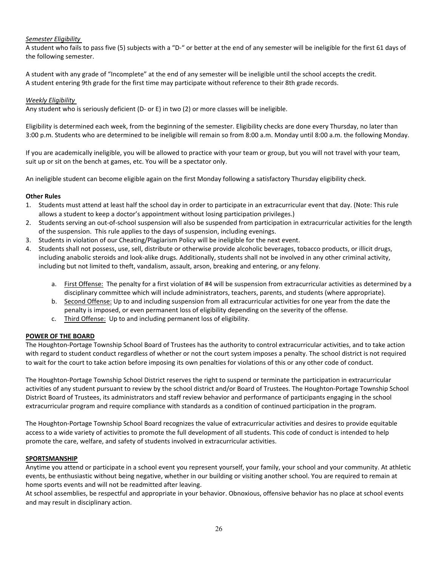#### *Semester Eligibility*

A student who fails to pass five (5) subjects with a "D-" or better at the end of any semester will be ineligible for the first 61 days of the following semester.

A student with any grade of "Incomplete" at the end of any semester will be ineligible until the school accepts the credit. A student entering 9th grade for the first time may participate without reference to their 8th grade records.

#### *Weekly Eligibility*

Any student who is seriously deficient (D- or E) in two (2) or more classes will be ineligible.

Eligibility is determined each week, from the beginning of the semester. Eligibility checks are done every Thursday, no later than 3:00 p.m. Students who are determined to be ineligible will remain so from 8:00 a.m. Monday until 8:00 a.m. the following Monday.

If you are academically ineligible, you will be allowed to practice with your team or group, but you will not travel with your team, suit up or sit on the bench at games, etc. You will be a spectator only.

An ineligible student can become eligible again on the first Monday following a satisfactory Thursday eligibility check.

#### **Other Rules**

- 1. Students must attend at least half the school day in order to participate in an extracurricular event that day. (Note: This rule allows a student to keep a doctor's appointment without losing participation privileges.)
- 2. Students serving an out-of-school suspension will also be suspended from participation in extracurricular activities for the length of the suspension. This rule applies to the days of suspension, including evenings.
- 3. Students in violation of our Cheating/Plagiarism Policy will be ineligible for the next event.
- 4. Students shall not possess, use, sell, distribute or otherwise provide alcoholic beverages, tobacco products, or illicit drugs, including anabolic steroids and look-alike drugs. Additionally, students shall not be involved in any other criminal activity, including but not limited to theft, vandalism, assault, arson, breaking and entering, or any felony.
	- a. First Offense: The penalty for a first violation of #4 will be suspension from extracurricular activities as determined by a disciplinary committee which will include administrators, teachers, parents, and students (where appropriate).
	- b. Second Offense: Up to and including suspension from all extracurricular activities for one year from the date the penalty is imposed, or even permanent loss of eligibility depending on the severity of the offense.
	- c. Third Offense: Up to and including permanent loss of eligibility.

#### **POWER OF THE BOARD**

The Houghton-Portage Township School Board of Trustees has the authority to control extracurricular activities, and to take action with regard to student conduct regardless of whether or not the court system imposes a penalty. The school district is not required to wait for the court to take action before imposing its own penalties for violations of this or any other code of conduct.

The Houghton-Portage Township School District reserves the right to suspend or terminate the participation in extracurricular activities of any student pursuant to review by the school district and/or Board of Trustees. The Houghton-Portage Township School District Board of Trustees, its administrators and staff review behavior and performance of participants engaging in the school extracurricular program and require compliance with standards as a condition of continued participation in the program.

The Houghton-Portage Township School Board recognizes the value of extracurricular activities and desires to provide equitable access to a wide variety of activities to promote the full development of all students. This code of conduct is intended to help promote the care, welfare, and safety of students involved in extracurricular activities.

#### **SPORTSMANSHIP**

Anytime you attend or participate in a school event you represent yourself, your family, your school and your community. At athletic events, be enthusiastic without being negative, whether in our building or visiting another school. You are required to remain at home sports events and will not be readmitted after leaving.

At school assemblies, be respectful and appropriate in your behavior. Obnoxious, offensive behavior has no place at school events and may result in disciplinary action.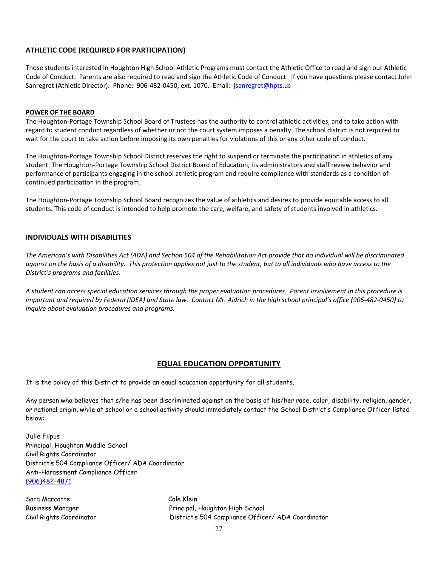#### **ATHLETIC CODE (REQUIRED FOR PARTICIPATION)**

Those students interested in Houghton High School Athletic Programs must contact the Athletic Office to read and sign our Athletic Code of Conduct. Parents are also required to read and sign the Athletic Code of Conduct. If you have questions please contact John Sanregret (Athletic Director). Phone: 906-482-0450, ext. 1070. Email: [jsanregret@hpts.us](mailto:jsanregret@hpts.us)

#### **POWER OF THE BOARD**

The Houghton-Portage Township School Board of Trustees has the authority to control athletic activities, and to take action with regard to student conduct regardless of whether or not the court system imposes a penalty. The school district is not required to wait for the court to take action before imposing its own penalties for violations of this or any other code of conduct.

The Houghton-Portage Township School District reserves the right to suspend or terminate the participation in athletics of any student. The Houghton-Portage Township School District Board of Education, its administrators and staff review behavior and performance of participants engaging in the school athletic program and require compliance with standards as a condition of continued participation in the program.

The Houghton-Portage Township School Board recognizes the value of athletics and desires to provide equitable access to all students. This code of conduct is intended to help promote the care, welfare, and safety of students involved in athletics.

#### **INDIVIDUALS WITH DISABILITIES**

*The American's with Disabilities Act (ADA) and Section 504 of the Rehabilitation Act provide that no individual will be discriminated against on the basis of a disability. This protection applies not just to the student, but to all individuals who have access to the District's programs and facilities.*

*A student can access special education services through the proper evaluation procedures. Parent involvement in this procedure is important and required by Federal (IDEA) and State law. Contact Mr. Aldrich in the high school principal's office [906-482-0450] to inquire about evaluation procedures and programs.*

#### **EQUAL EDUCATION OPPORTUNITY**

It is the policy of this District to provide an equal education opportunity for all students.

Any person who believes that s/he has been discriminated against on the basis of his/her race, color, disability, religion, gender, or national origin, while at school or a school activity should immediately contact the School District's Compliance Officer listed below:

Julie Filpus Principal, Houghton Middle School Civil Rights Coordinator District's 504 Compliance Officer/ ADA Coordinator Anti-Harassment Compliance Officer [\(906\)482-4871](about:blank)

Sara Marcotte Cole Klein

Business Manager Principal, Houghton High School Civil Rights Coordinator District's 504 Compliance Officer/ ADA Coordinator